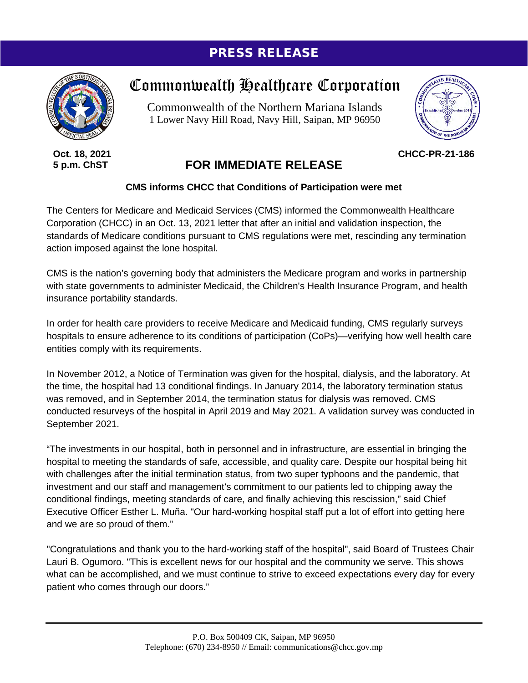## PRESS RELEASE



**Oct. 18, 2021 5 p.m. ChST**

## Commonwealth Healthcare Corporation

Commonwealth of the Northern Mariana Islands 1 Lower Navy Hill Road, Navy Hill, Saipan, MP 96950



**CHCC-PR-21-186**

## **FOR IMMEDIATE RELEASE**

## **CMS informs CHCC that Conditions of Participation were met**

The Centers for Medicare and Medicaid Services (CMS) informed the Commonwealth Healthcare Corporation (CHCC) in an Oct. 13, 2021 letter that after an initial and validation inspection, the standards of Medicare conditions pursuant to CMS regulations were met, rescinding any termination action imposed against the lone hospital.

CMS is the nation's governing body that administers the Medicare program and works in partnership with state governments to administer Medicaid, the Children's Health Insurance Program, and health insurance portability standards.

In order for health care providers to receive Medicare and Medicaid funding, CMS regularly surveys hospitals to ensure adherence to its conditions of participation (CoPs)—verifying how well health care entities comply with its requirements.

In November 2012, a Notice of Termination was given for the hospital, dialysis, and the laboratory. At the time, the hospital had 13 conditional findings. In January 2014, the laboratory termination status was removed, and in September 2014, the termination status for dialysis was removed. CMS conducted resurveys of the hospital in April 2019 and May 2021. A validation survey was conducted in September 2021.

"The investments in our hospital, both in personnel and in infrastructure, are essential in bringing the hospital to meeting the standards of safe, accessible, and quality care. Despite our hospital being hit with challenges after the initial termination status, from two super typhoons and the pandemic, that investment and our staff and management's commitment to our patients led to chipping away the conditional findings, meeting standards of care, and finally achieving this rescission," said Chief Executive Officer Esther L. Muña. "Our hard-working hospital staff put a lot of effort into getting here and we are so proud of them."

"Congratulations and thank you to the hard-working staff of the hospital", said Board of Trustees Chair Lauri B. Ogumoro. "This is excellent news for our hospital and the community we serve. This shows what can be accomplished, and we must continue to strive to exceed expectations every day for every patient who comes through our doors."